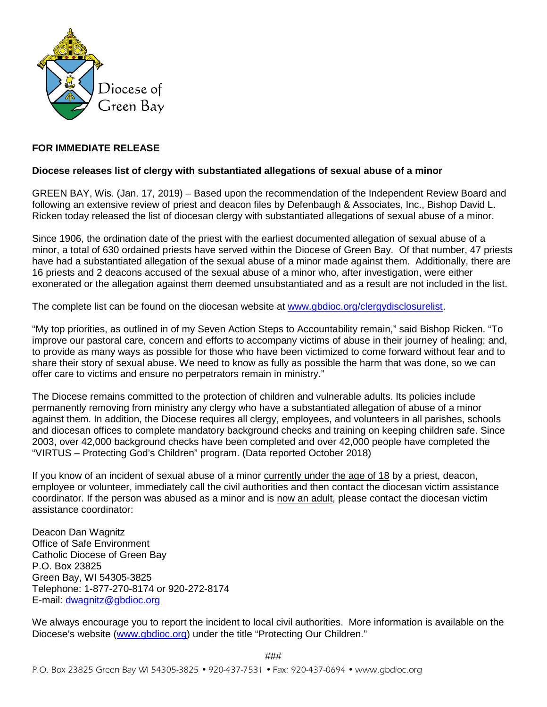

## **FOR IMMEDIATE RELEASE**

## **Diocese releases list of clergy with substantiated allegations of sexual abuse of a minor**

GREEN BAY, Wis. (Jan. 17, 2019) – Based upon the recommendation of the Independent Review Board and following an extensive review of priest and deacon files by Defenbaugh & Associates, Inc., Bishop David L. Ricken today released the list of diocesan clergy with substantiated allegations of sexual abuse of a minor.

Since 1906, the ordination date of the priest with the earliest documented allegation of sexual abuse of a minor, a total of 630 ordained priests have served within the Diocese of Green Bay. Of that number, 47 priests have had a substantiated allegation of the sexual abuse of a minor made against them. Additionally, there are 16 priests and 2 deacons accused of the sexual abuse of a minor who, after investigation, were either exonerated or the allegation against them deemed unsubstantiated and as a result are not included in the list.

The complete list can be found on the diocesan website at [www.gbdioc.org/clergydisclosurelist.](http://www.gbdioc.org/clergydisclosurelist)

"My top priorities, as outlined in of my Seven Action Steps to Accountability remain," said Bishop Ricken. "To improve our pastoral care, concern and efforts to accompany victims of abuse in their journey of healing; and, to provide as many ways as possible for those who have been victimized to come forward without fear and to share their story of sexual abuse. We need to know as fully as possible the harm that was done, so we can offer care to victims and ensure no perpetrators remain in ministry."

The Diocese remains committed to the protection of children and vulnerable adults. Its policies include permanently removing from ministry any clergy who have a substantiated allegation of abuse of a minor against them. In addition, the Diocese requires all clergy, employees, and volunteers in all parishes, schools and diocesan offices to complete mandatory background checks and training on keeping children safe. Since 2003, over 42,000 background checks have been completed and over 42,000 people have completed the "VIRTUS – Protecting God's Children" program. (Data reported October 2018)

If you know of an incident of sexual abuse of a minor currently under the age of 18 by a priest, deacon, employee or volunteer, immediately call the civil authorities and then contact the diocesan victim assistance coordinator. If the person was abused as a minor and is now an adult, please contact the diocesan victim assistance coordinator:

Deacon Dan Wagnitz Office of Safe Environment Catholic Diocese of Green Bay P.O. Box 23825 Green Bay, WI 54305-3825 Telephone: 1-877-270-8174 or 920-272-8174 E-mail: [dwagnitz@gbdioc.org](mailto:dwagnitz@gbdioc.org)

We always encourage you to report the incident to local civil authorities. More information is available on the Diocese's website [\(www.gbdioc.org\)](http://www.gbdioc.org/) under the title "Protecting Our Children."

###